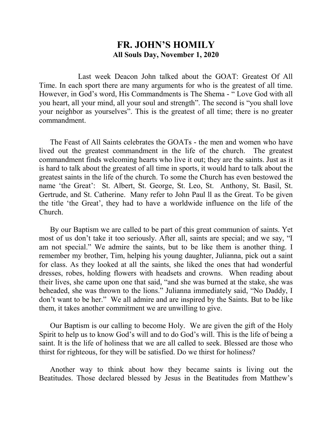## **FR. JOHN'S HOMILY All Souls Day, November 1, 2020**

 Last week Deacon John talked about the GOAT: Greatest Of All Time. In each sport there are many arguments for who is the greatest of all time. However, in God's word, His Commandments is The Shema - " Love God with all you heart, all your mind, all your soul and strength". The second is "you shall love your neighbor as yourselves". This is the greatest of all time; there is no greater commandment.

 The Feast of All Saints celebrates the GOATs - the men and women who have lived out the greatest commandment in the life of the church. The greatest commandment finds welcoming hearts who live it out; they are the saints. Just as it is hard to talk about the greatest of all time in sports, it would hard to talk about the greatest saints in the life of the church. To some the Church has even bestowed the name 'the Great': St. Albert, St. George, St. Leo, St. Anthony, St. Basil, St. Gertrude, and St. Catherine. Many refer to John Paul ll as the Great. To be given the title 'the Great', they had to have a worldwide influence on the life of the Church.

 By our Baptism we are called to be part of this great communion of saints. Yet most of us don't take it too seriously. After all, saints are special; and we say, "I am not special." We admire the saints, but to be like them is another thing. I remember my brother, Tim, helping his young daughter, Julianna, pick out a saint for class. As they looked at all the saints, she liked the ones that had wonderful dresses, robes, holding flowers with headsets and crowns. When reading about their lives, she came upon one that said, "and she was burned at the stake, she was beheaded, she was thrown to the lions." Julianna immediately said, "No Daddy, I don't want to be her." We all admire and are inspired by the Saints. But to be like them, it takes another commitment we are unwilling to give.

 Our Baptism is our calling to become Holy. We are given the gift of the Holy Spirit to help us to know God's will and to do God's will. This is the life of being a saint. It is the life of holiness that we are all called to seek. Blessed are those who thirst for righteous, for they will be satisfied. Do we thirst for holiness?

 Another way to think about how they became saints is living out the Beatitudes. Those declared blessed by Jesus in the Beatitudes from Matthew's